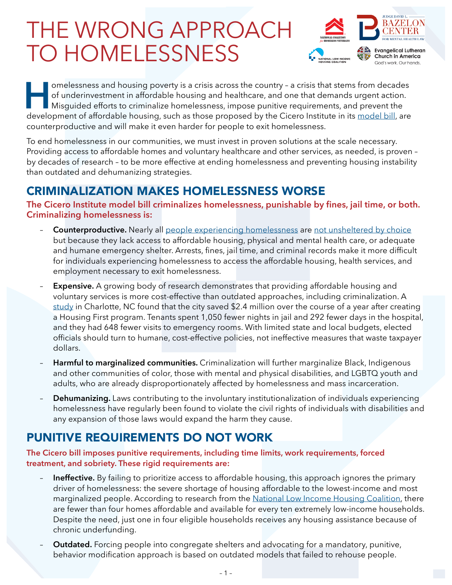# THE WRONG APPROACH TO HOMELESSNESS



Interaction of underinvestment in affordable housing and healthcare, and one that demands urgent action.<br>Misguided efforts to criminalize homelessness, impose punitive requirements, and prevent the development of affordabl of underinvestment in affordable housing and healthcare, and one that demands urgent action. Misguided efforts to criminalize homelessness, impose punitive requirements, and prevent the development of affordable housing, such as those proposed by the Cicero Institute in its [model bill,](https://ciceroinstitute.org/wp-content/uploads/2021/11/Reducing-Street-Homelessness-Act-Model-Bill.090821.pdf) are counterproductive and will make it even harder for people to exit homelessness.

To end homelessness in our communities, we must invest in proven solutions at the scale necessary. Providing access to affordable homes and voluntary healthcare and other services, as needed, is proven – by decades of research – to be more effective at ending homelessness and preventing housing instability than outdated and dehumanizing strategies.

## CRIMINALIZATION MAKES HOMELESSNESS WORSE

**The Cicero Institute model bill criminalizes homelessness, punishable by fines, jail time, or both. Criminalizing homelessness is:**

- **Counterproductive.** Nearly all [people experiencing homelessness](https://invisiblepeople.tv/why-do-people-choose-to-be-homeless/) are [not unsheltered by choice](https://www.urban.org/urban-wire/dismantling-harmful-false-narrative-homelessness-choice) but because they lack access to affordable housing, physical and mental health care, or adequate and humane emergency shelter. Arrests, fines, jail time, and criminal records make it more difficult for individuals experiencing homelessness to access the affordable housing, health services, and employment necessary to exit homelessness.
- **Expensive.** A growing body of research demonstrates that providing affordable housing and voluntary services is more cost-effective than outdated approaches, including criminalization. A [study](https://ui.charlotte.edu/story/housing-first-works-report-sheds-light-program-end-homelessness) in Charlotte, NC found that the city saved \$2.4 million over the course of a year after creating a Housing First program. Tenants spent 1,050 fewer nights in jail and 292 fewer days in the hospital, and they had 648 fewer visits to emergency rooms. With limited state and local budgets, elected officials should turn to humane, cost-effective policies, not ineffective measures that waste taxpayer dollars.
- **Harmful to marginalized communities.** Criminalization will further marginalize Black, Indigenous and other communities of color, those with mental and physical disabilities, and LGBTQ youth and adults, who are already disproportionately affected by homelessness and mass incarceration.
- **Dehumanizing.** Laws contributing to the involuntary institutionalization of individuals experiencing homelessness have regularly been found to violate the civil rights of individuals with disabilities and any expansion of those laws would expand the harm they cause.

## PUNITIVE REQUIREMENTS DO NOT WORK

**The Cicero bill imposes punitive requirements, including time limits, work requirements, forced treatment, and sobriety. These rigid requirements are:**

- **Ineffective.** By failing to prioritize access to affordable housing, this approach ignores the primary driver of homelessness: the severe shortage of housing affordable to the lowest-income and most marginalized people. According to research from the [National Low Income Housing Coalition,](https://nlihc.org/gap) there are fewer than four homes affordable and available for every ten extremely low-income households. Despite the need, just one in four eligible households receives any housing assistance because of chronic underfunding.
- **Outdated.** Forcing people into congregate shelters and advocating for a mandatory, punitive, behavior modification approach is based on outdated models that failed to rehouse people.